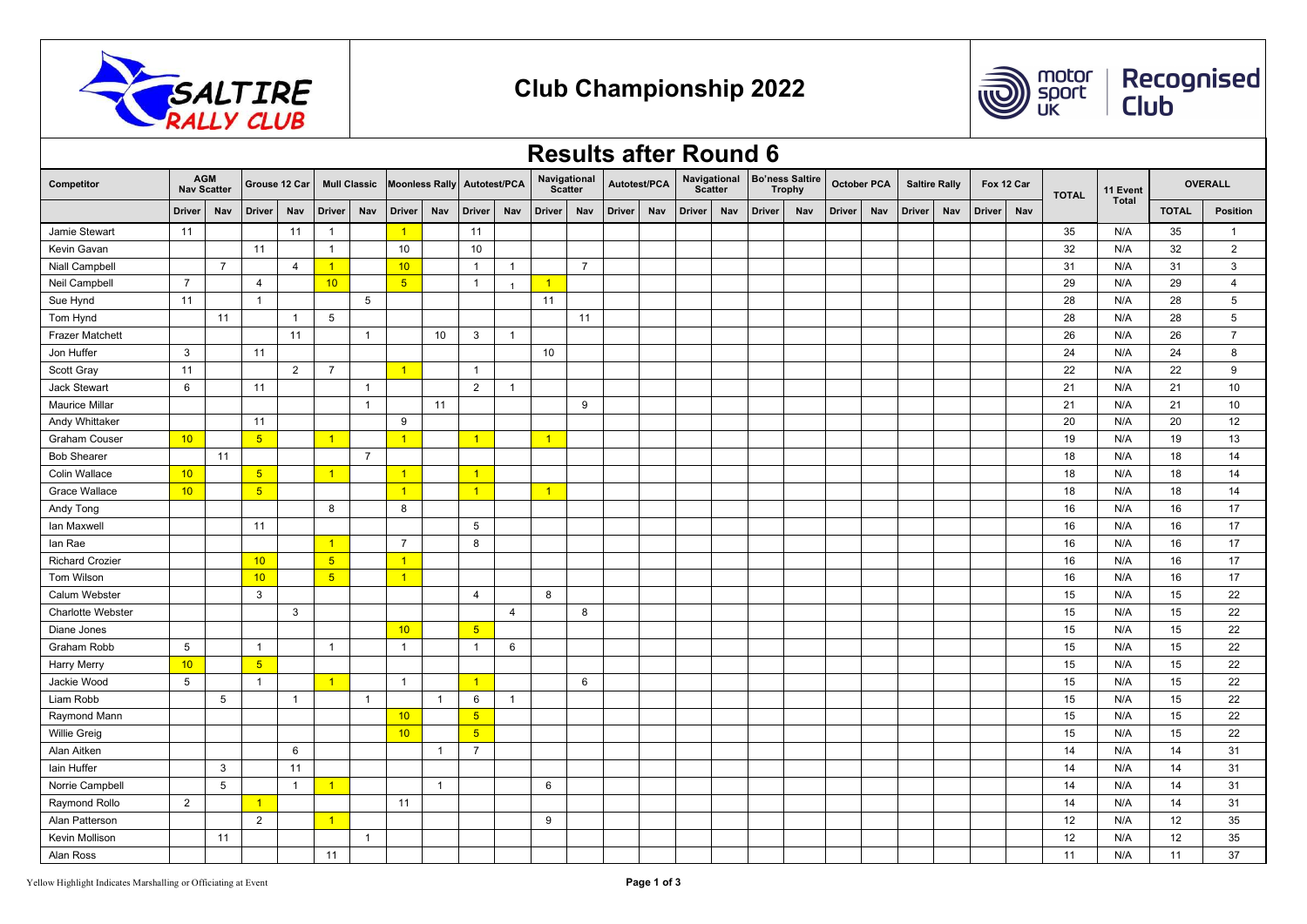



Recognised<br>Club

|                                                |                 |                |                 |                |                 |                     |                       |                |                |                |                |                                |              |               | <b>Results after Round 6</b>   |               |     |                                         |     |                    |     |                      |            |  |              |              |                 |                |
|------------------------------------------------|-----------------|----------------|-----------------|----------------|-----------------|---------------------|-----------------------|----------------|----------------|----------------|----------------|--------------------------------|--------------|---------------|--------------------------------|---------------|-----|-----------------------------------------|-----|--------------------|-----|----------------------|------------|--|--------------|--------------|-----------------|----------------|
| <b>AGM</b><br>Competitor<br><b>Nav Scatter</b> |                 |                |                 | Grouse 12 Car  |                 | <b>Mull Classic</b> | <b>Moonless Rally</b> |                | Autotest/PCA   |                |                | Navigational<br><b>Scatter</b> | Autotest/PCA |               | Navigational<br><b>Scatter</b> |               |     | <b>Bo'ness Saltire</b><br><b>Trophy</b> |     | <b>October PCA</b> |     | <b>Saltire Rally</b> | Fox 12 Car |  | <b>TOTAL</b> | 11 Event     | <b>OVERALL</b>  |                |
| <b>Driver</b>                                  | Nav             | <b>Driver</b>  | Nav             | <b>Driver</b>  | Nav             | <b>Driver</b>       | Nav                   | <b>Driver</b>  | Nav            | <b>Driver</b>  | Nav            | <b>Driver</b>                  | Nav          | <b>Driver</b> | Nav                            | <b>Driver</b> | Nav | <b>Driver</b>                           | Nav | <b>Driver</b>      | Nav | <b>Driver</b>        | Nav        |  | <b>Total</b> | <b>TOTAL</b> | <b>Position</b> |                |
| Jamie Stewart                                  | 11              |                |                 | 11             | $\overline{1}$  |                     | $\overline{1}$        |                | 11             |                |                |                                |              |               |                                |               |     |                                         |     |                    |     |                      |            |  | 35           | N/A          | 35              | $\overline{1}$ |
| Kevin Gavan                                    |                 |                | 11              |                | $\mathbf{1}$    |                     | 10                    |                | 10             |                |                |                                |              |               |                                |               |     |                                         |     |                    |     |                      |            |  | 32           | N/A          | 32              | 2              |
| Niall Campbell                                 |                 | $\overline{7}$ |                 | $\overline{4}$ | $\vert$ 1       |                     | 10                    |                | $\overline{1}$ | $\mathbf{1}$   |                | $\overline{7}$                 |              |               |                                |               |     |                                         |     |                    |     |                      |            |  | 31           | N/A          | 31              | 3              |
| Neil Campbell                                  | $\overline{7}$  |                | $\overline{4}$  |                | 10              |                     | 5 <sub>5</sub>        |                | $\overline{1}$ | $\overline{1}$ | $\vert$ 1      |                                |              |               |                                |               |     |                                         |     |                    |     |                      |            |  | 29           | N/A          | 29              | $\overline{4}$ |
| Sue Hynd                                       | 11              |                | $\overline{1}$  |                |                 | 5                   |                       |                |                |                | 11             |                                |              |               |                                |               |     |                                         |     |                    |     |                      |            |  | 28           | N/A          | 28              | 5              |
| Tom Hynd                                       |                 | 11             |                 | $\overline{1}$ | $5\phantom{.0}$ |                     |                       |                |                |                |                | 11                             |              |               |                                |               |     |                                         |     |                    |     |                      |            |  | 28           | N/A          | 28              | 5              |
| <b>Frazer Matchett</b>                         |                 |                |                 | 11             |                 | $\mathbf{1}$        |                       | 10             | 3              | $\mathbf{1}$   |                |                                |              |               |                                |               |     |                                         |     |                    |     |                      |            |  | 26           | N/A          | 26              | $\overline{7}$ |
| Jon Huffer                                     | 3               |                | 11              |                |                 |                     |                       |                |                |                | 10             |                                |              |               |                                |               |     |                                         |     |                    |     |                      |            |  | 24           | N/A          | 24              | 8              |
| Scott Gray                                     | 11              |                |                 | 2              | $\overline{7}$  |                     | $\vert$ 1             |                | $\overline{1}$ |                |                |                                |              |               |                                |               |     |                                         |     |                    |     |                      |            |  | 22           | N/A          | 22              | 9              |
| <b>Jack Stewart</b>                            | 6               |                | 11              |                |                 | $\mathbf{1}$        |                       |                | 2              | $\mathbf{1}$   |                |                                |              |               |                                |               |     |                                         |     |                    |     |                      |            |  | 21           | N/A          | 21              | 10             |
| <b>Maurice Millar</b>                          |                 |                |                 |                |                 | $\mathbf{1}$        |                       | 11             |                |                |                | 9                              |              |               |                                |               |     |                                         |     |                    |     |                      |            |  | 21           | N/A          | 21              | 10             |
| Andy Whittaker                                 |                 |                | 11              |                |                 |                     | 9                     |                |                |                |                |                                |              |               |                                |               |     |                                         |     |                    |     |                      |            |  | 20           | N/A          | 20              | 12             |
| <b>Graham Couser</b>                           | 10 <sup>2</sup> |                | 5 <sub>5</sub>  |                | $\overline{1}$  |                     | $\vert$ 1             |                | $\overline{1}$ |                | $\vert$ 1      |                                |              |               |                                |               |     |                                         |     |                    |     |                      |            |  | 19           | N/A          | 19              | 13             |
| <b>Bob Shearer</b>                             |                 | 11             |                 |                |                 | $\overline{7}$      |                       |                |                |                |                |                                |              |               |                                |               |     |                                         |     |                    |     |                      |            |  | 18           | N/A          | 18              | 14             |
| Colin Wallace                                  | 10              |                | 5 <sub>5</sub>  |                | $\sqrt{1}$      |                     | $\sqrt{1}$            |                | $\vert$ 1      |                |                |                                |              |               |                                |               |     |                                         |     |                    |     |                      |            |  | 18           | N/A          | 18              | 14             |
| <b>Grace Wallace</b>                           | 10              |                | $5\overline{)}$ |                |                 |                     | $\overline{1}$        |                | $\overline{1}$ |                | $\overline{1}$ |                                |              |               |                                |               |     |                                         |     |                    |     |                      |            |  | 18           | N/A          | 18              | 14             |
| Andy Tong                                      |                 |                |                 |                | 8               |                     | 8                     |                |                |                |                |                                |              |               |                                |               |     |                                         |     |                    |     |                      |            |  | 16           | N/A          | 16              | 17             |
| Ian Maxwell                                    |                 |                | 11              |                |                 |                     |                       |                | 5              |                |                |                                |              |               |                                |               |     |                                         |     |                    |     |                      |            |  | 16           | N/A          | 16              | 17             |
| lan Rae                                        |                 |                |                 |                | $\overline{1}$  |                     | $\overline{7}$        |                | 8              |                |                |                                |              |               |                                |               |     |                                         |     |                    |     |                      |            |  | 16           | N/A          | 16              | 17             |
| <b>Richard Crozier</b>                         |                 |                | 10              |                | $5\overline{)}$ |                     | $\sqrt{1}$            |                |                |                |                |                                |              |               |                                |               |     |                                         |     |                    |     |                      |            |  | 16           | N/A          | 16              | 17             |
| <b>Tom Wilson</b>                              |                 |                | 10              |                | 5 <sub>5</sub>  |                     | $\vert$ 1             |                |                |                |                |                                |              |               |                                |               |     |                                         |     |                    |     |                      |            |  | 16           | N/A          | 16              | 17             |
| Calum Webster                                  |                 |                | $\mathbf{3}$    |                |                 |                     |                       |                | $\overline{4}$ |                | 8              |                                |              |               |                                |               |     |                                         |     |                    |     |                      |            |  | 15           | N/A          | 15              | 22             |
| Charlotte Webster                              |                 |                |                 | $\mathbf{3}$   |                 |                     |                       |                |                | $\overline{4}$ |                | 8                              |              |               |                                |               |     |                                         |     |                    |     |                      |            |  | 15           | N/A          | 15              | 22             |
| Diane Jones                                    |                 |                |                 |                |                 |                     | 10                    |                | 5 <sub>5</sub> |                |                |                                |              |               |                                |               |     |                                         |     |                    |     |                      |            |  | 15           | N/A          | 15              | 22             |
| Graham Robb                                    | $5\phantom{.0}$ |                | $\overline{1}$  |                | $\overline{1}$  |                     | $\overline{1}$        |                | $\overline{1}$ | 6              |                |                                |              |               |                                |               |     |                                         |     |                    |     |                      |            |  | 15           | N/A          | 15              | 22             |
| <b>Harry Merry</b>                             | 10              |                | $5\overline{)}$ |                |                 |                     |                       |                |                |                |                |                                |              |               |                                |               |     |                                         |     |                    |     |                      |            |  | 15           | N/A          | 15              | 22             |
| Jackie Wood                                    | 5               |                | $\overline{1}$  |                | $\overline{1}$  |                     | $\overline{1}$        |                | $\overline{1}$ |                |                | 6                              |              |               |                                |               |     |                                         |     |                    |     |                      |            |  | 15           | N/A          | 15              | 22             |
| Liam Robb                                      |                 | 5              |                 | $\overline{1}$ |                 | $\mathbf{1}$        |                       | $\overline{1}$ | 6              | $\mathbf{1}$   |                |                                |              |               |                                |               |     |                                         |     |                    |     |                      |            |  | 15           | N/A          | 15              | 22             |
| Raymond Mann                                   |                 |                |                 |                |                 |                     | 10                    |                | 5 <sup>5</sup> |                |                |                                |              |               |                                |               |     |                                         |     |                    |     |                      |            |  | 15           | N/A          | 15              | 22             |
| <b>Willie Greig</b>                            |                 |                |                 |                |                 |                     | 10                    |                | 5 <sub>5</sub> |                |                |                                |              |               |                                |               |     |                                         |     |                    |     |                      |            |  | 15           | N/A          | 15              | 22             |
| Alan Aitken                                    |                 |                |                 | 6              |                 |                     |                       | $\overline{1}$ | $\overline{7}$ |                |                |                                |              |               |                                |               |     |                                         |     |                    |     |                      |            |  | 14           | N/A          | 14              | 31             |
| lain Huffer                                    |                 | 3              |                 | 11             |                 |                     |                       |                |                |                |                |                                |              |               |                                |               |     |                                         |     |                    |     |                      |            |  | 14           | N/A          | 14              | 31             |
| Norrie Campbell                                |                 | 5              |                 | $\overline{1}$ | $\vert$ 1       |                     |                       | $\overline{1}$ |                |                | 6              |                                |              |               |                                |               |     |                                         |     |                    |     |                      |            |  | 14           | N/A          | 14              | 31             |
| Raymond Rollo                                  | $\overline{2}$  |                | $\sqrt{1}$      |                |                 |                     | 11                    |                |                |                |                |                                |              |               |                                |               |     |                                         |     |                    |     |                      |            |  | 14           | N/A          | 14              | 31             |
| Alan Patterson                                 |                 |                | $\overline{2}$  |                | $\vert$ 1       |                     |                       |                |                |                | 9              |                                |              |               |                                |               |     |                                         |     |                    |     |                      |            |  | 12           | N/A          | 12              | 35             |
| Kevin Mollison                                 |                 | 11             |                 |                |                 | $\mathbf{1}$        |                       |                |                |                |                |                                |              |               |                                |               |     |                                         |     |                    |     |                      |            |  | 12           | N/A          | 12              | 35             |
| Alan Ross                                      |                 |                |                 |                | 11              |                     |                       |                |                |                |                |                                |              |               |                                |               |     |                                         |     |                    |     |                      |            |  | 11           | N/A          | 11              | 37             |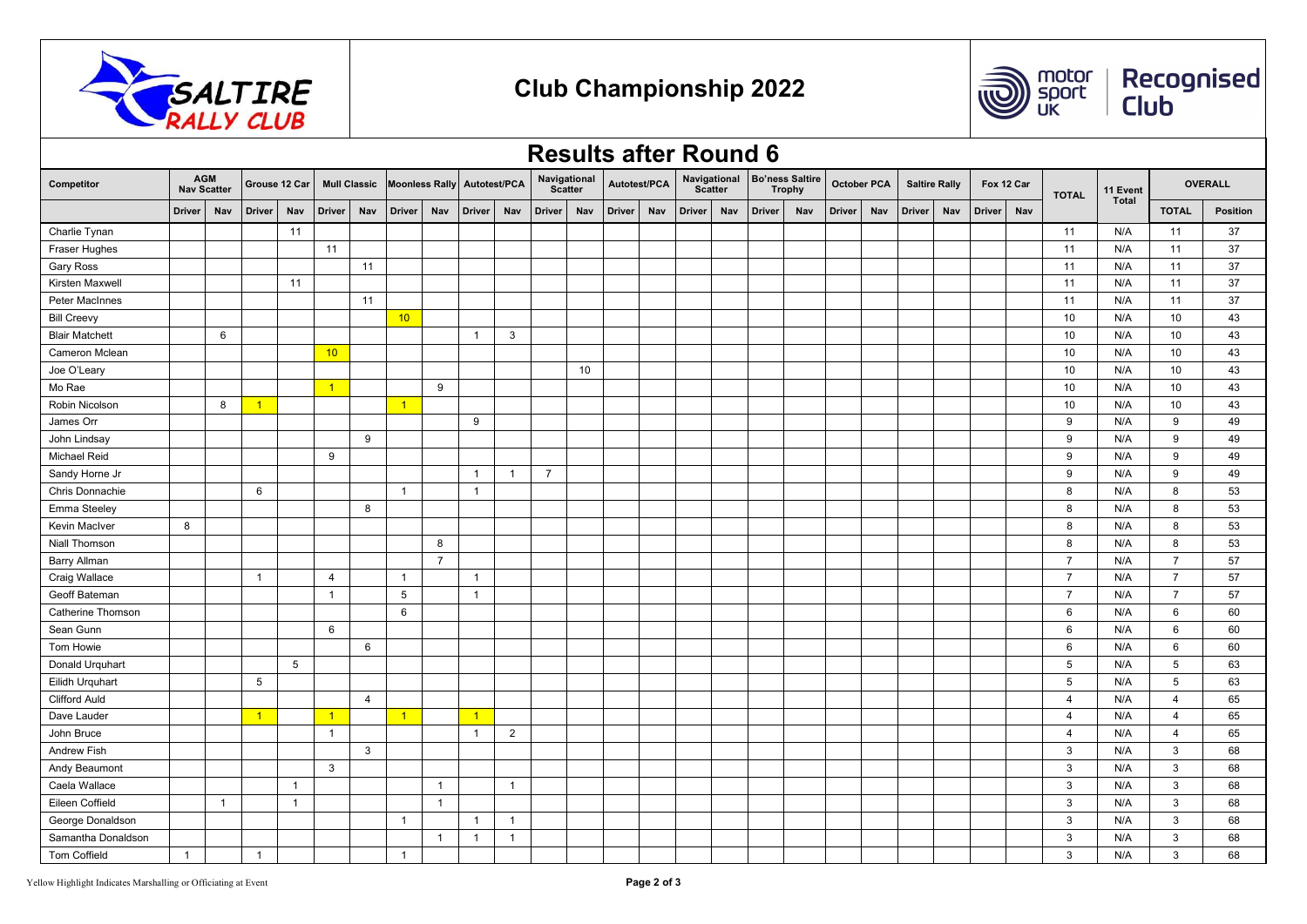



Recognised<br>Club

|                       | <b>Results after Round 6</b> |                                  |                |                |                |                     |                       |                |                |                |                                |     |               |     |                                |     |               |                                         |               |                    |                      |     |               |     |                 |              |                 |                 |
|-----------------------|------------------------------|----------------------------------|----------------|----------------|----------------|---------------------|-----------------------|----------------|----------------|----------------|--------------------------------|-----|---------------|-----|--------------------------------|-----|---------------|-----------------------------------------|---------------|--------------------|----------------------|-----|---------------|-----|-----------------|--------------|-----------------|-----------------|
| Competitor            |                              | <b>AGM</b><br><b>Nav Scatter</b> | Grouse 12 Car  |                |                | <b>Mull Classic</b> | <b>Moonless Rally</b> |                | Autotest/PCA   |                | Navigational<br><b>Scatter</b> |     | Autotest/PCA  |     | Navigational<br><b>Scatter</b> |     |               | <b>Bo'ness Saltire</b><br><b>Trophy</b> |               | <b>October PCA</b> | <b>Saltire Rally</b> |     | Fox 12 Car    |     | <b>TOTAL</b>    | 11 Event     |                 | <b>OVERALL</b>  |
|                       | <b>Driver</b>                | Nav                              | <b>Driver</b>  | Nav            | <b>Driver</b>  | Nav                 | <b>Driver</b>         | Nav            | <b>Driver</b>  | Nav            | Driver                         | Nav | <b>Driver</b> | Nav | <b>Driver</b>                  | Nav | <b>Driver</b> | Nav                                     | <b>Driver</b> | Nav                | <b>Driver</b>        | Nav | <b>Driver</b> | Nav |                 | <b>Total</b> | <b>TOTAL</b>    | <b>Position</b> |
| Charlie Tynan         |                              |                                  |                | 11             |                |                     |                       |                |                |                |                                |     |               |     |                                |     |               |                                         |               |                    |                      |     |               |     | 11              | N/A          | 11              | 37              |
| Fraser Hughes         |                              |                                  |                |                | 11             |                     |                       |                |                |                |                                |     |               |     |                                |     |               |                                         |               |                    |                      |     |               |     | 11              | N/A          | 11              | 37              |
| Gary Ross             |                              |                                  |                |                |                | 11                  |                       |                |                |                |                                |     |               |     |                                |     |               |                                         |               |                    |                      |     |               |     | 11              | N/A          | 11              | 37              |
| Kirsten Maxwell       |                              |                                  |                | 11             |                |                     |                       |                |                |                |                                |     |               |     |                                |     |               |                                         |               |                    |                      |     |               |     | 11              | N/A          | 11              | 37              |
| Peter MacInnes        |                              |                                  |                |                |                | 11                  |                       |                |                |                |                                |     |               |     |                                |     |               |                                         |               |                    |                      |     |               |     | 11              | N/A          | 11              | 37              |
| <b>Bill Creevy</b>    |                              |                                  |                |                |                |                     | 10                    |                |                |                |                                |     |               |     |                                |     |               |                                         |               |                    |                      |     |               |     | 10              | N/A          | 10              | 43              |
| <b>Blair Matchett</b> |                              | 6                                |                |                |                |                     |                       |                | $\overline{1}$ | 3              |                                |     |               |     |                                |     |               |                                         |               |                    |                      |     |               |     | 10              | N/A          | 10              | 43              |
| <b>Cameron Mclean</b> |                              |                                  |                |                | 10             |                     |                       |                |                |                |                                |     |               |     |                                |     |               |                                         |               |                    |                      |     |               |     | 10              | N/A          | 10              | 43              |
| Joe O'Leary           |                              |                                  |                |                |                |                     |                       |                |                |                |                                | 10  |               |     |                                |     |               |                                         |               |                    |                      |     |               |     | 10              | N/A          | 10              | 43              |
| Mo Rae                |                              |                                  |                |                | $\vert$ 1      |                     |                       | 9              |                |                |                                |     |               |     |                                |     |               |                                         |               |                    |                      |     |               |     | 10              | N/A          | 10              | 43              |
| Robin Nicolson        |                              | 8                                | $\vert$ 1      |                |                |                     | $\vert$ 1             |                |                |                |                                |     |               |     |                                |     |               |                                         |               |                    |                      |     |               |     | 10              | N/A          | 10              | 43              |
| James Orr             |                              |                                  |                |                |                |                     |                       |                | 9              |                |                                |     |               |     |                                |     |               |                                         |               |                    |                      |     |               |     | 9               | N/A          | 9               | 49              |
| John Lindsay          |                              |                                  |                |                |                | 9                   |                       |                |                |                |                                |     |               |     |                                |     |               |                                         |               |                    |                      |     |               |     | 9               | N/A          | 9               | 49              |
| Michael Reid          |                              |                                  |                |                | 9              |                     |                       |                |                |                |                                |     |               |     |                                |     |               |                                         |               |                    |                      |     |               |     | 9               | N/A          | 9               | 49              |
| Sandy Horne Jr        |                              |                                  |                |                |                |                     |                       |                | $\overline{1}$ | $\overline{1}$ | $\overline{7}$                 |     |               |     |                                |     |               |                                         |               |                    |                      |     |               |     | 9               | N/A          | 9               | 49              |
| Chris Donnachie       |                              |                                  | 6              |                |                |                     | $\mathbf{1}$          |                | $\overline{1}$ |                |                                |     |               |     |                                |     |               |                                         |               |                    |                      |     |               |     | 8               | N/A          | 8               | 53              |
| Emma Steeley          |                              |                                  |                |                |                | 8                   |                       |                |                |                |                                |     |               |     |                                |     |               |                                         |               |                    |                      |     |               |     | 8               | N/A          | 8               | 53              |
| Kevin MacIver         | 8                            |                                  |                |                |                |                     |                       |                |                |                |                                |     |               |     |                                |     |               |                                         |               |                    |                      |     |               |     | 8               | N/A          | 8               | 53              |
| Niall Thomson         |                              |                                  |                |                |                |                     |                       | 8              |                |                |                                |     |               |     |                                |     |               |                                         |               |                    |                      |     |               |     | 8               | N/A          | 8               | 53              |
| Barry Allman          |                              |                                  |                |                |                |                     |                       | $\overline{7}$ |                |                |                                |     |               |     |                                |     |               |                                         |               |                    |                      |     |               |     | $\overline{7}$  | N/A          | $\overline{7}$  | 57              |
| Craig Wallace         |                              |                                  | $\overline{1}$ |                | $\overline{4}$ |                     | $\overline{1}$        |                | $\overline{1}$ |                |                                |     |               |     |                                |     |               |                                         |               |                    |                      |     |               |     | $\overline{7}$  | N/A          | $\overline{7}$  | 57              |
| Geoff Bateman         |                              |                                  |                |                | $\overline{1}$ |                     | $5\overline{5}$       |                | $\overline{1}$ |                |                                |     |               |     |                                |     |               |                                         |               |                    |                      |     |               |     | $\overline{7}$  | N/A          | $\overline{7}$  | 57              |
| Catherine Thomson     |                              |                                  |                |                |                |                     | 6                     |                |                |                |                                |     |               |     |                                |     |               |                                         |               |                    |                      |     |               |     | 6               | N/A          | 6               | 60              |
| Sean Gunn             |                              |                                  |                |                | 6              |                     |                       |                |                |                |                                |     |               |     |                                |     |               |                                         |               |                    |                      |     |               |     | 6               | N/A          | 6               | 60              |
| Tom Howie             |                              |                                  |                |                |                | 6                   |                       |                |                |                |                                |     |               |     |                                |     |               |                                         |               |                    |                      |     |               |     | 6               | N/A          | 6               | 60              |
| Donald Urquhart       |                              |                                  |                | 5              |                |                     |                       |                |                |                |                                |     |               |     |                                |     |               |                                         |               |                    |                      |     |               |     | 5               | N/A          | $5\phantom{.0}$ | 63              |
| Eilidh Urquhart       |                              |                                  | 5              |                |                |                     |                       |                |                |                |                                |     |               |     |                                |     |               |                                         |               |                    |                      |     |               |     | $5\phantom{.0}$ | N/A          | 5               | 63              |
| <b>Clifford Auld</b>  |                              |                                  |                |                |                | $\overline{4}$      |                       |                |                |                |                                |     |               |     |                                |     |               |                                         |               |                    |                      |     |               |     | $\overline{4}$  | N/A          | $\overline{4}$  | 65              |
| Dave Lauder           |                              |                                  | $\overline{1}$ |                | $\vert$ 1      |                     | $\overline{1}$        |                | $\overline{1}$ |                |                                |     |               |     |                                |     |               |                                         |               |                    |                      |     |               |     | $\overline{4}$  | N/A          | $\overline{4}$  | 65              |
| John Bruce            |                              |                                  |                |                | $\mathbf{1}$   |                     |                       |                | $\overline{1}$ | $\overline{2}$ |                                |     |               |     |                                |     |               |                                         |               |                    |                      |     |               |     | $\overline{4}$  | N/A          | $\overline{4}$  | 65              |
| <b>Andrew Fish</b>    |                              |                                  |                |                |                | 3                   |                       |                |                |                |                                |     |               |     |                                |     |               |                                         |               |                    |                      |     |               |     | 3               | N/A          | 3               | 68              |
| Andy Beaumont         |                              |                                  |                |                | 3              |                     |                       |                |                |                |                                |     |               |     |                                |     |               |                                         |               |                    |                      |     |               |     | 3               | N/A          | $\mathbf{3}$    | 68              |
| Caela Wallace         |                              |                                  |                | $\overline{1}$ |                |                     |                       | $\overline{1}$ |                | $\mathbf{1}$   |                                |     |               |     |                                |     |               |                                         |               |                    |                      |     |               |     | 3               | N/A          | 3               | 68              |
| Eileen Coffield       |                              | $\overline{1}$                   |                | $\overline{1}$ |                |                     |                       | $\overline{1}$ |                |                |                                |     |               |     |                                |     |               |                                         |               |                    |                      |     |               |     | $\mathbf{3}$    | N/A          | $\mathbf{3}$    | 68              |
| George Donaldson      |                              |                                  |                |                |                |                     | $\overline{1}$        |                | $\overline{1}$ | $\overline{1}$ |                                |     |               |     |                                |     |               |                                         |               |                    |                      |     |               |     | $\mathbf{3}$    | N/A          | 3               | 68              |
| Samantha Donaldson    |                              |                                  |                |                |                |                     |                       | $\overline{1}$ | $\overline{1}$ | $\overline{1}$ |                                |     |               |     |                                |     |               |                                         |               |                    |                      |     |               |     | 3               | N/A          | 3               | 68              |
| Tom Coffield          | $\mathbf{1}$                 |                                  | $\overline{1}$ |                |                |                     | $\overline{1}$        |                |                |                |                                |     |               |     |                                |     |               |                                         |               |                    |                      |     |               |     | 3               | N/A          | 3               | 68              |

## Yellow Highlight Indicates Marshalling or Officiating at Event Page 2 of 3